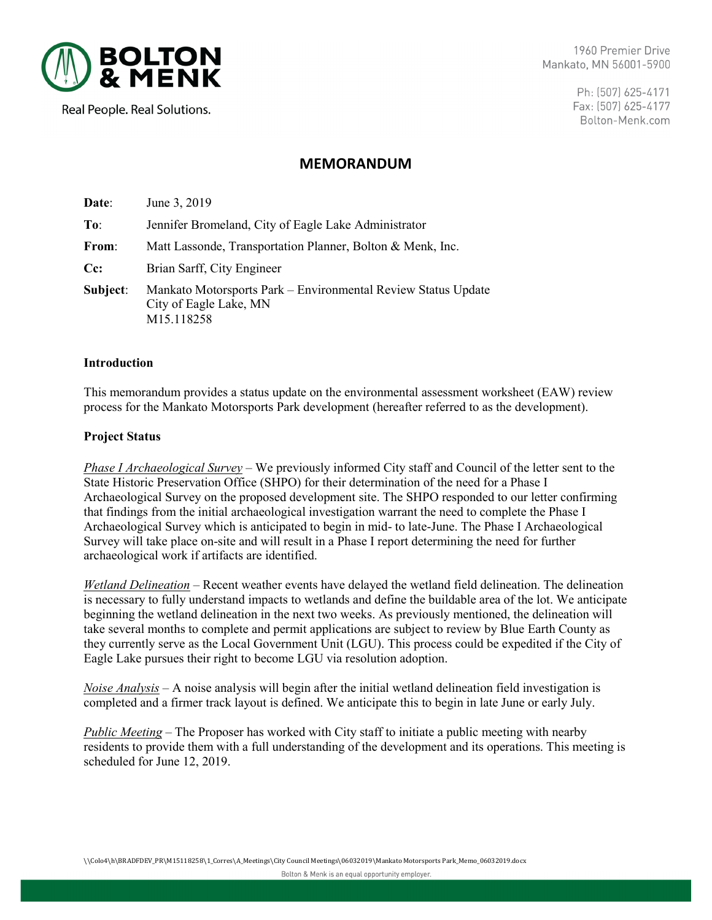

1960 Premier Drive Mankato, MN 56001-5900

> Ph: (507) 625-4171 Fax: (507) 625-4177 Bolton-Menk.com

# Real People. Real Solutions.

# **MEMORANDUM**

| Date:    | June 3, 2019                                                                                          |
|----------|-------------------------------------------------------------------------------------------------------|
| To:      | Jennifer Bromeland, City of Eagle Lake Administrator                                                  |
| From:    | Matt Lassonde, Transportation Planner, Bolton & Menk, Inc.                                            |
| $Cc$ :   | Brian Sarff, City Engineer                                                                            |
| Subject: | Mankato Motorsports Park – Environmental Review Status Update<br>City of Eagle Lake, MN<br>M15.118258 |

## **Introduction**

This memorandum provides a status update on the environmental assessment worksheet (EAW) review process for the Mankato Motorsports Park development (hereafter referred to as the development).

## **Project Status**

*Phase I Archaeological Survey –* We previously informed City staff and Council of the letter sent to the State Historic Preservation Office (SHPO) for their determination of the need for a Phase I Archaeological Survey on the proposed development site. The SHPO responded to our letter confirming that findings from the initial archaeological investigation warrant the need to complete the Phase I Archaeological Survey which is anticipated to begin in mid- to late-June. The Phase I Archaeological Survey will take place on-site and will result in a Phase I report determining the need for further archaeological work if artifacts are identified.

*Wetland Delineation –* Recent weather events have delayed the wetland field delineation. The delineation is necessary to fully understand impacts to wetlands and define the buildable area of the lot. We anticipate beginning the wetland delineation in the next two weeks. As previously mentioned, the delineation will take several months to complete and permit applications are subject to review by Blue Earth County as they currently serve as the Local Government Unit (LGU). This process could be expedited if the City of Eagle Lake pursues their right to become LGU via resolution adoption.

*Noise Analysis –* A noise analysis will begin after the initial wetland delineation field investigation is completed and a firmer track layout is defined. We anticipate this to begin in late June or early July.

*Public Meeting –* The Proposer has worked with City staff to initiate a public meeting with nearby residents to provide them with a full understanding of the development and its operations. This meeting is scheduled for June 12, 2019.